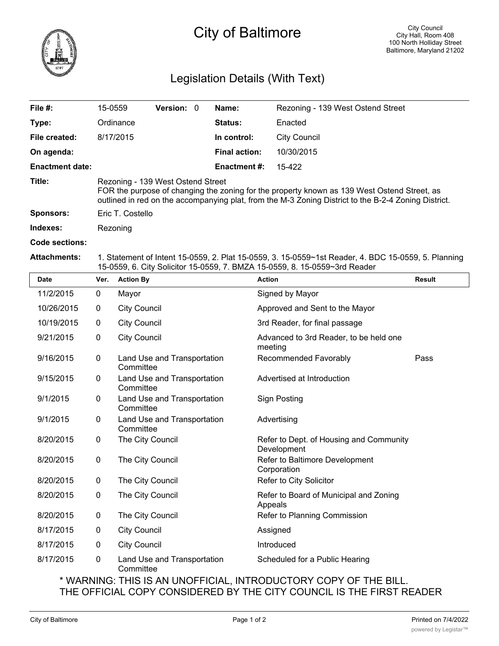

## Legislation Details (With Text)

| File $#$ :             | 15-0559                                                                                                                                                                                                                                  | <b>Version: 0</b> |  | Name:                | Rezoning - 139 West Ostend Street |  |  |
|------------------------|------------------------------------------------------------------------------------------------------------------------------------------------------------------------------------------------------------------------------------------|-------------------|--|----------------------|-----------------------------------|--|--|
| Type:                  | Ordinance                                                                                                                                                                                                                                |                   |  | <b>Status:</b>       | Enacted                           |  |  |
| File created:          | 8/17/2015                                                                                                                                                                                                                                |                   |  | In control:          | <b>City Council</b>               |  |  |
| On agenda:             |                                                                                                                                                                                                                                          |                   |  | <b>Final action:</b> | 10/30/2015                        |  |  |
| <b>Enactment date:</b> |                                                                                                                                                                                                                                          |                   |  | <b>Enactment #:</b>  | 15-422                            |  |  |
| Title:                 | Rezoning - 139 West Ostend Street<br>FOR the purpose of changing the zoning for the property known as 139 West Ostend Street, as<br>outlined in red on the accompanying plat, from the M-3 Zoning District to the B-2-4 Zoning District. |                   |  |                      |                                   |  |  |
| <b>Sponsors:</b>       | Eric T. Costello                                                                                                                                                                                                                         |                   |  |                      |                                   |  |  |
| Indexes:               | Rezoning                                                                                                                                                                                                                                 |                   |  |                      |                                   |  |  |
| Code sections:         |                                                                                                                                                                                                                                          |                   |  |                      |                                   |  |  |

## **Attachments:** 1. Statement of Intent 15-0559, 2. Plat 15-0559, 3. 15-0559~1st Reader, 4. BDC 15-0559, 5. Planning 15-0559, 6. City Solicitor 15-0559, 7. BMZA 15-0559, 8. 15-0559~3rd Reader

| <b>Date</b> | Ver.        | <b>Action By</b>                         | <b>Action</b>                                          | <b>Result</b> |
|-------------|-------------|------------------------------------------|--------------------------------------------------------|---------------|
| 11/2/2015   | 0           | Mayor                                    | Signed by Mayor                                        |               |
| 10/26/2015  | $\mathbf 0$ | <b>City Council</b>                      | Approved and Sent to the Mayor                         |               |
| 10/19/2015  | 0           | <b>City Council</b>                      | 3rd Reader, for final passage                          |               |
| 9/21/2015   | 0           | <b>City Council</b>                      | Advanced to 3rd Reader, to be held one<br>meeting      |               |
| 9/16/2015   | $\mathbf 0$ | Land Use and Transportation<br>Committee | Recommended Favorably                                  | Pass          |
| 9/15/2015   | 0           | Land Use and Transportation<br>Committee | Advertised at Introduction                             |               |
| 9/1/2015    | 0           | Land Use and Transportation<br>Committee | <b>Sign Posting</b>                                    |               |
| 9/1/2015    | 0           | Land Use and Transportation<br>Committee | Advertising                                            |               |
| 8/20/2015   | 0           | The City Council                         | Refer to Dept. of Housing and Community<br>Development |               |
| 8/20/2015   | $\mathbf 0$ | The City Council                         | Refer to Baltimore Development<br>Corporation          |               |
| 8/20/2015   | 0           | The City Council                         | Refer to City Solicitor                                |               |
| 8/20/2015   | 0           | The City Council                         | Refer to Board of Municipal and Zoning<br>Appeals      |               |
| 8/20/2015   | $\mathbf 0$ | The City Council                         | Refer to Planning Commission                           |               |
| 8/17/2015   | 0           | <b>City Council</b>                      | Assigned                                               |               |
| 8/17/2015   | 0           | <b>City Council</b>                      | Introduced                                             |               |
| 8/17/2015   | 0           | Land Use and Transportation<br>Committee | Scheduled for a Public Hearing                         |               |

\* WARNING: THIS IS AN UNOFFICIAL, INTRODUCTORY COPY OF THE BILL. THE OFFICIAL COPY CONSIDERED BY THE CITY COUNCIL IS THE FIRST READER